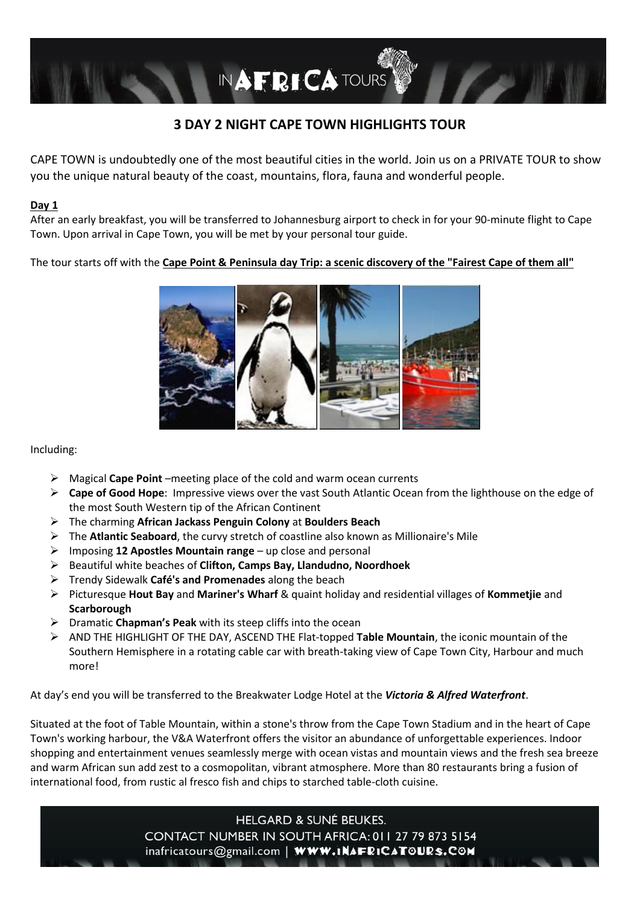

# **3 DAY 2 NIGHT CAPE TOWN HIGHLIGHTS TOUR**

CAPE TOWN is undoubtedly one of the most beautiful cities in the world. Join us on a PRIVATE TOUR to show you the unique natural beauty of the coast, mountains, flora, fauna and wonderful people.

## **Day 1**

After an early breakfast, you will be transferred to Johannesburg airport to check in for your 90-minute flight to Cape Town. Upon arrival in Cape Town, you will be met by your personal tour guide.

The tour starts off with the **Cape Point & Peninsula day Trip: a scenic discovery of the "Fairest Cape of them all"**



#### Including:

- ➢ Magical **Cape Point** –meeting place of the cold and warm ocean currents
- ➢ **Cape of Good Hope**: Impressive views over the vast South Atlantic Ocean from the lighthouse on the edge of the most South Western tip of the African Continent
- ➢ The charming **African Jackass Penguin Colony** at **Boulders Beach**
- ➢ The **Atlantic Seaboard**, the curvy stretch of coastline also known as Millionaire's Mile
- ➢ Imposing **12 Apostles Mountain range** up close and personal
- ➢ Beautiful white beaches of **Clifton, Camps Bay, Llandudno, Noordhoek**
- ➢ Trendy Sidewalk **Café's and Promenades** along the beach
- ➢ Picturesque **Hout Bay** and **Mariner's Wharf** & quaint holiday and residential villages of **Kommetjie** and **Scarborough**
- ➢ Dramatic **Chapman's Peak** with its steep cliffs into the ocean
- ➢ AND THE HIGHLIGHT OF THE DAY, ASCEND THE Flat-topped **Table Mountain**, the iconic mountain of the Southern Hemisphere in a rotating cable car with breath-taking view of Cape Town City, Harbour and much more!

At day's end you will be transferred to the Breakwater Lodge Hotel at the *Victoria & Alfred Waterfront*.

Situated at the foot of Table Mountain, within a stone's throw from the Cape Town Stadium and in the heart of Cape Town's working harbour, the V&A Waterfront offers the visitor an abundance of unforgettable experiences. Indoor shopping and entertainment venues seamlessly merge with ocean vistas and mountain views and the fresh sea breeze and warm African sun add zest to a cosmopolitan, vibrant atmosphere. More than 80 restaurants bring a fusion of international food, from rustic al fresco fish and chips to starched table-cloth cuisine.

> **HELGARD & SUNÉ BEUKES.** CONTACT NUMBER IN SOUTH AFRICA: 011 27 79 873 5154 inafricatours@gmail.com | WWW.INAFRICATOURS.COM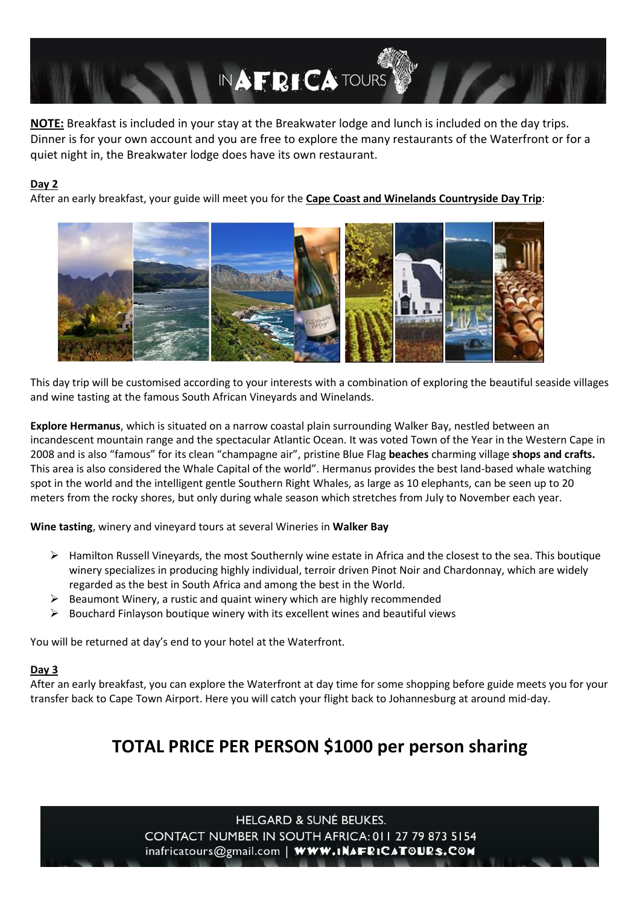

**NOTE:** Breakfast is included in your stay at the Breakwater lodge and lunch is included on the day trips. Dinner is for your own account and you are free to explore the many restaurants of the Waterfront or for a quiet night in, the Breakwater lodge does have its own restaurant.

## **Day 2**

After an early breakfast, your guide will meet you for the **Cape Coast and Winelands Countryside Day Trip**:



This day trip will be customised according to your interests with a combination of exploring the beautiful seaside villages and wine tasting at the famous South African Vineyards and Winelands.

**Explore Hermanus**, which is situated on a narrow coastal plain surrounding Walker Bay, nestled between an incandescent mountain range and the spectacular Atlantic Ocean. It was voted Town of the Year in the Western Cape in 2008 and is also "famous" for its clean "champagne air", pristine Blue Flag **beaches** charming village **shops and crafts.**  This area is also considered the Whale Capital of the world". Hermanus provides the best land-based whale watching spot in the world and the intelligent gentle Southern Right Whales, as large as 10 elephants, can be seen up to 20 meters from the rocky shores, but only during whale season which stretches from July to November each year.

**Wine tasting**, winery and vineyard tours at several Wineries in **Walker Bay**

- ➢ Hamilton Russell Vineyards, the most Southernly wine estate in Africa and the closest to the sea. This boutique winery specializes in producing highly individual, terroir driven Pinot Noir and Chardonnay, which are widely regarded as the best in South Africa and among the best in the World.
- ➢ Beaumont Winery, a rustic and quaint winery which are highly recommended
- $\triangleright$  Bouchard Finlayson boutique winery with its excellent wines and beautiful views

You will be returned at day's end to your hotel at the Waterfront.

#### **Day 3**

After an early breakfast, you can explore the Waterfront at day time for some shopping before guide meets you for your transfer back to Cape Town Airport. Here you will catch your flight back to Johannesburg at around mid-day.

# **TOTAL PRICE PER PERSON \$1000 per person sharing**

**HELGARD & SUNÉ BEUKES.** CONTACT NUMBER IN SOUTH AFRICA: 011 27 79 873 5154 inafricatours@gmail.com | WWW.INAFRICATOURS.COM